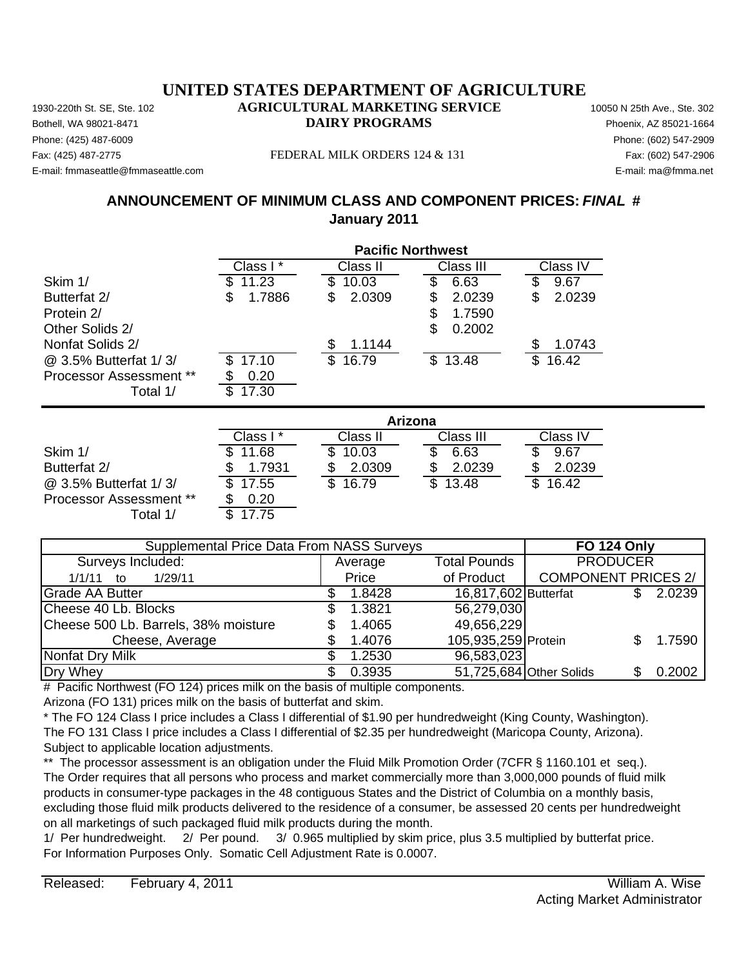Phone: (425) 487-6009 Phone: (602) 547-2909 E-mail: fmmaseattle@fmmaseattle.com E-mail: ma@fmma.net

#### Fax: (425) 487-2775 FEDERAL MILK ORDERS 124 & 131 Fax: (602) 547-2906

## **ANNOUNCEMENT OF MINIMUM CLASS AND COMPONENT PRICES:** *FINAL* **# January 2011**

|                                | <b>Pacific Northwest</b> |                       |              |              |  |
|--------------------------------|--------------------------|-----------------------|--------------|--------------|--|
|                                | Class I*                 | Class II              | Class III    | Class IV     |  |
| Skim 1/                        | 11.23                    | S<br>10.03            | \$<br>6.63   | \$<br>9.67   |  |
| Butterfat 2/                   | 1.7886<br>\$             | 2.0309<br>\$          | 2.0239<br>\$ | \$<br>2.0239 |  |
| Protein 2/                     |                          |                       | 1.7590<br>\$ |              |  |
| Other Solids 2/                |                          |                       | \$<br>0.2002 |              |  |
| Nonfat Solids 2/               |                          | 1.1144<br>\$          |              | \$<br>1.0743 |  |
| @ 3.5% Butterfat 1/3/          | 17.10                    | $\mathbb{S}$<br>16.79 | \$13.48      | \$<br>16.42  |  |
| <b>Processor Assessment **</b> | 0.20<br>\$               |                       |              |              |  |
| Total 1/                       | 17.30<br>\$              |                       |              |              |  |
|                                |                          | <b>Arizona</b>        |              |              |  |
|                                | Class I*                 | Class II              | Class III    | Class IV     |  |
| Skim 1/                        | 11.68                    | \$<br>10.03           | S<br>6.63    | \$<br>9.67   |  |
| Butterfat 2/                   | 1.7931                   | 2.0309                | 2.0239       | 2.0239       |  |
| @ 3.5% Butterfat 1/3/          | 17.55<br>S               | \$<br>16.79           | \$<br>13.48  | \$<br>16.42  |  |

Processor Assessment \*\* Total  $1/7$ 

| Supplemental Price Data From NASS Surveys | <b>FO 124 Only</b> |                      |                            |        |
|-------------------------------------------|--------------------|----------------------|----------------------------|--------|
| Surveys Included:                         | Average            | <b>Total Pounds</b>  | <b>PRODUCER</b>            |        |
| 1/29/11<br>1/1/11<br>to                   | Price              | of Product           | <b>COMPONENT PRICES 2/</b> |        |
| Grade AA Butter                           | 1.8428             | 16,817,602 Butterfat |                            | 2.0239 |
| Cheese 40 Lb. Blocks                      | 1.3821             | 56,279,030           |                            |        |
| Cheese 500 Lb. Barrels, 38% moisture      | 1.4065             | 49,656,229           |                            |        |
| Cheese, Average                           | 1.4076             | 105,935,259 Protein  |                            | 1.7590 |
| Nonfat Dry Milk                           | 1.2530             | 96,583,023           |                            |        |
| Dry Whey                                  | 0.3935             |                      | 51,725,684 Other Solids    | 0.2002 |

# Pacific Northwest (FO 124) prices milk on the basis of multiple components.

Arizona (FO 131) prices milk on the basis of butterfat and skim.

\* The FO 124 Class I price includes a Class I differential of \$1.90 per hundredweight (King County, Washington). The FO 131 Class I price includes a Class I differential of \$2.35 per hundredweight (Maricopa County, Arizona). Subject to applicable location adjustments.

\*\* The processor assessment is an obligation under the Fluid Milk Promotion Order (7CFR § 1160.101 et seq.). The Order requires that all persons who process and market commercially more than 3,000,000 pounds of fluid milk products in consumer-type packages in the 48 contiguous States and the District of Columbia on a monthly basis, excluding those fluid milk products delivered to the residence of a consumer, be assessed 20 cents per hundredweight on all marketings of such packaged fluid milk products during the month.

1/ Per hundredweight. 2/ Per pound. 3/ 0.965 multiplied by skim price, plus 3.5 multiplied by butterfat price. For Information Purposes Only. Somatic Cell Adjustment Rate is 0.0007.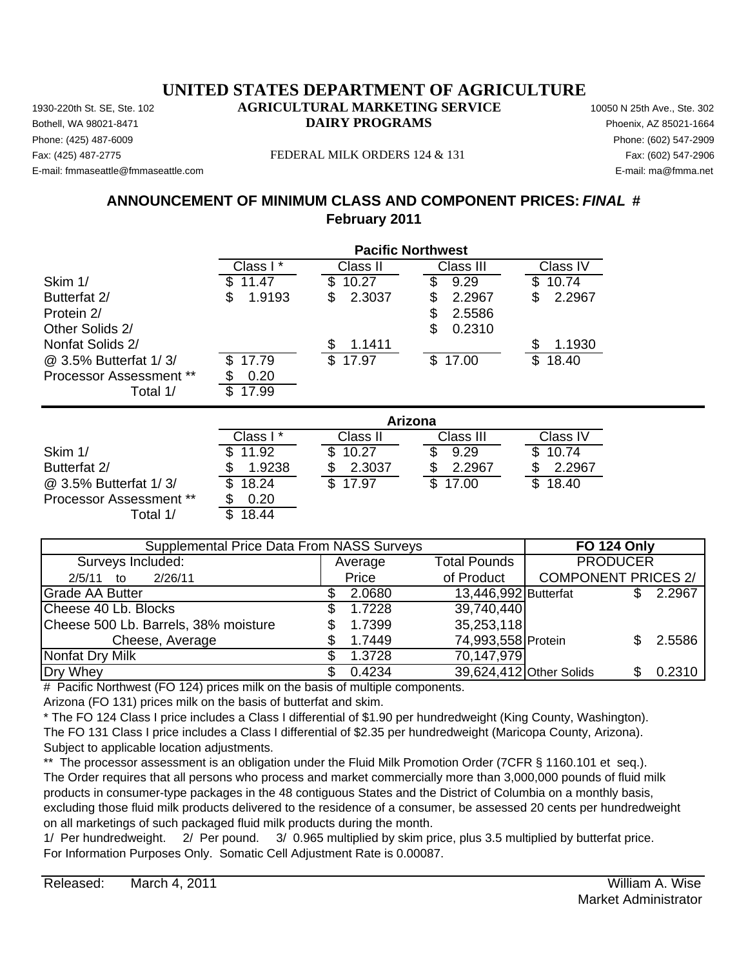Phone: (425) 487-6009 Phone: (602) 547-2909 E-mail: fmmaseattle@fmmaseattle.com E-mail: ma@fmma.net

#### Fax: (425) 487-2775 FEDERAL MILK ORDERS 124 & 131 Fax: (602) 547-2906

## **ANNOUNCEMENT OF MINIMUM CLASS AND COMPONENT PRICES:** *FINAL* **# February 2011**

|                                |             |              | <b>Pacific Northwest</b> |             |
|--------------------------------|-------------|--------------|--------------------------|-------------|
|                                | Class I*    | Class II     | Class III                | Class IV    |
| Skim 1/                        | 11.47       | 10.27<br>\$  | \$<br>9.29               | \$<br>10.74 |
| Butterfat 2/                   | 1.9193<br>S | 2.3037<br>\$ | 2.2967<br>\$             | 2.2967<br>S |
| Protein 2/                     |             |              | 2.5586<br>\$             |             |
| Other Solids 2/                |             |              | \$<br>0.2310             |             |
| Nonfat Solids 2/               |             | 1.1411<br>\$ |                          | 1.1930      |
| @ 3.5% Butterfat 1/3/          | 17.79       | \$17.97      | \$17.00                  | \$<br>18.40 |
| <b>Processor Assessment **</b> | 0.20        |              |                          |             |
| Total 1/                       | 17.99<br>S  |              |                          |             |
|                                |             |              | Arizona                  |             |
|                                | Class I*    | Class II     | Class III                | Class IV    |
| Skim 1/                        | 11.92       | 10.27<br>S   | S<br>9.29                | 10.74       |
| Butterfat 2/                   | 1.9238      | 2.3037<br>\$ | 2.2967<br>S              | 2.2967      |
| @ 3.5% Butterfat 1/3/          | 18.24       | \$<br>17.97  | \$<br>17.00              | \$<br>18.40 |
| <b>Processor Assessment **</b> | 0.20<br>\$  |              |                          |             |

| Supplemental Price Data From NASS Surveys | <b>FO 124 Only</b> |                      |                            |        |
|-------------------------------------------|--------------------|----------------------|----------------------------|--------|
| Surveys Included:                         | Average            | <b>Total Pounds</b>  | <b>PRODUCER</b>            |        |
| 2/26/11<br>$2/5/11$ to                    | Price              | of Product           | <b>COMPONENT PRICES 2/</b> |        |
| <b>Grade AA Butter</b>                    | 2.0680             | 13,446,992 Butterfat |                            | 2.2967 |
| Cheese 40 Lb. Blocks                      | 1.7228             | 39,740,440           |                            |        |
| Cheese 500 Lb. Barrels, 38% moisture      | 1.7399             | 35,253,118           |                            |        |
| Cheese, Average                           | 1.7449             | 74,993,558 Protein   |                            | 2.5586 |
| Nonfat Dry Milk                           | 1.3728             | 70,147,979           |                            |        |
| Dry Whey                                  | 0.4234             |                      | 39,624,412 Other Solids    | 0.2310 |

# Pacific Northwest (FO 124) prices milk on the basis of multiple components.

Arizona (FO 131) prices milk on the basis of butterfat and skim.

Total  $1/$   $\overline{\$}$  18.44

\* The FO 124 Class I price includes a Class I differential of \$1.90 per hundredweight (King County, Washington). The FO 131 Class I price includes a Class I differential of \$2.35 per hundredweight (Maricopa County, Arizona). Subject to applicable location adjustments.

\*\* The processor assessment is an obligation under the Fluid Milk Promotion Order (7CFR § 1160.101 et seq.). The Order requires that all persons who process and market commercially more than 3,000,000 pounds of fluid milk products in consumer-type packages in the 48 contiguous States and the District of Columbia on a monthly basis, excluding those fluid milk products delivered to the residence of a consumer, be assessed 20 cents per hundredweight on all marketings of such packaged fluid milk products during the month.

1/ Per hundredweight. 2/ Per pound. 3/ 0.965 multiplied by skim price, plus 3.5 multiplied by butterfat price. For Information Purposes Only. Somatic Cell Adjustment Rate is 0.00087.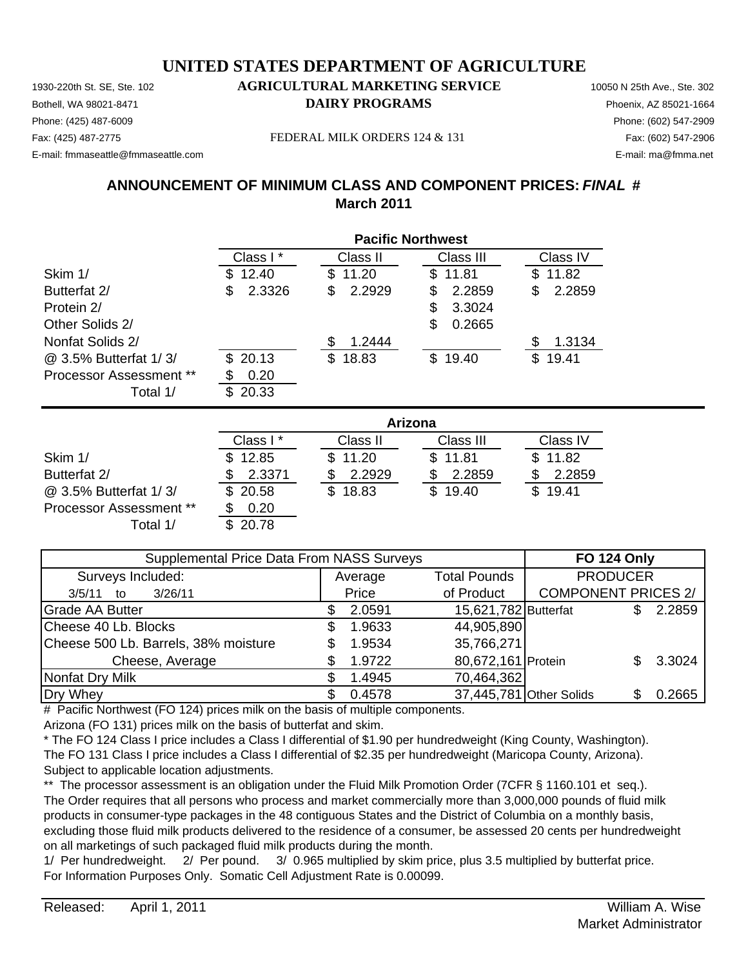Phone: (425) 487-6009 Phone: (602) 547-2909 E-mail: fmmaseattle@fmmaseattle.com E-mail: ma@fmma.net

Fax: (425) 487-2775 FEDERAL MILK ORDERS 124 & 131 Fax: (602) 547-2906

# **ANNOUNCEMENT OF MINIMUM CLASS AND COMPONENT PRICES:** *FINAL* **# March 2011**

|                                | <b>Pacific Northwest</b> |             |              |              |
|--------------------------------|--------------------------|-------------|--------------|--------------|
|                                | Class I*                 | Class II    | Class III    | Class IV     |
| Skim 1/                        | \$12.40                  | 11.20<br>S. | 11.81<br>\$. | \$11.82      |
| Butterfat 2/                   | 2.3326<br>\$.            | 2.2929<br>S | 2.2859<br>\$ | 2.2859<br>S  |
| Protein 2/                     |                          |             | \$<br>3.3024 |              |
| Other Solids 2/                |                          |             | \$<br>0.2665 |              |
| Nonfat Solids 2/               |                          | 1.2444      |              | 1.3134       |
| @ 3.5% Butterfat 1/3/          | \$20.13                  | \$18.83     | \$19.40      | 19.41<br>\$. |
| <b>Processor Assessment **</b> | 0.20                     |             |              |              |
| Total 1/                       | 20.33<br>\$.             |             |              |              |

|                                | Arizona     |          |           |          |  |
|--------------------------------|-------------|----------|-----------|----------|--|
|                                | Class I*    | Class II | Class III | Class IV |  |
| Skim 1/                        | 12.85<br>S. | \$11.20  | \$11.81   | \$11.82  |  |
| Butterfat 2/                   | 2.3371      | 2.2929   | 2.2859    | 2.2859   |  |
| @ 3.5% Butterfat 1/3/          | \$20.58     | \$18.83  | \$19.40   | \$19.41  |  |
| <b>Processor Assessment **</b> | 0.20        |          |           |          |  |
| Total 1/                       | 20.78       |          |           |          |  |

| Supplemental Price Data From NASS Surveys |  |         |                      | <b>FO 124 Only</b>         |        |
|-------------------------------------------|--|---------|----------------------|----------------------------|--------|
| Surveys Included:                         |  | Average | <b>Total Pounds</b>  | <b>PRODUCER</b>            |        |
| 3/26/11<br>3/5/11<br>to                   |  | Price   | of Product           | <b>COMPONENT PRICES 2/</b> |        |
| <b>Grade AA Butter</b>                    |  | 2.0591  | 15,621,782 Butterfat |                            | 2.2859 |
| Cheese 40 Lb. Blocks                      |  | 1.9633  | 44,905,890           |                            |        |
| Cheese 500 Lb. Barrels, 38% moisture      |  | 1.9534  | 35,766,271           |                            |        |
| Cheese, Average                           |  | 1.9722  | 80,672,161 Protein   |                            | 3.3024 |
| Nonfat Dry Milk                           |  | 1.4945  | 70,464,362           |                            |        |
| Dry Whey                                  |  | 0.4578  |                      | 37,445,781 Other Solids    | 0.2665 |

# Pacific Northwest (FO 124) prices milk on the basis of multiple components.

Arizona (FO 131) prices milk on the basis of butterfat and skim.

\* The FO 124 Class I price includes a Class I differential of \$1.90 per hundredweight (King County, Washington). The FO 131 Class I price includes a Class I differential of \$2.35 per hundredweight (Maricopa County, Arizona). Subject to applicable location adjustments.

\*\* The processor assessment is an obligation under the Fluid Milk Promotion Order (7CFR § 1160.101 et seq.). The Order requires that all persons who process and market commercially more than 3,000,000 pounds of fluid milk products in consumer-type packages in the 48 contiguous States and the District of Columbia on a monthly basis, excluding those fluid milk products delivered to the residence of a consumer, be assessed 20 cents per hundredweight on all marketings of such packaged fluid milk products during the month.

1/ Per hundredweight. 2/ Per pound. 3/ 0.965 multiplied by skim price, plus 3.5 multiplied by butterfat price. For Information Purposes Only. Somatic Cell Adjustment Rate is 0.00099.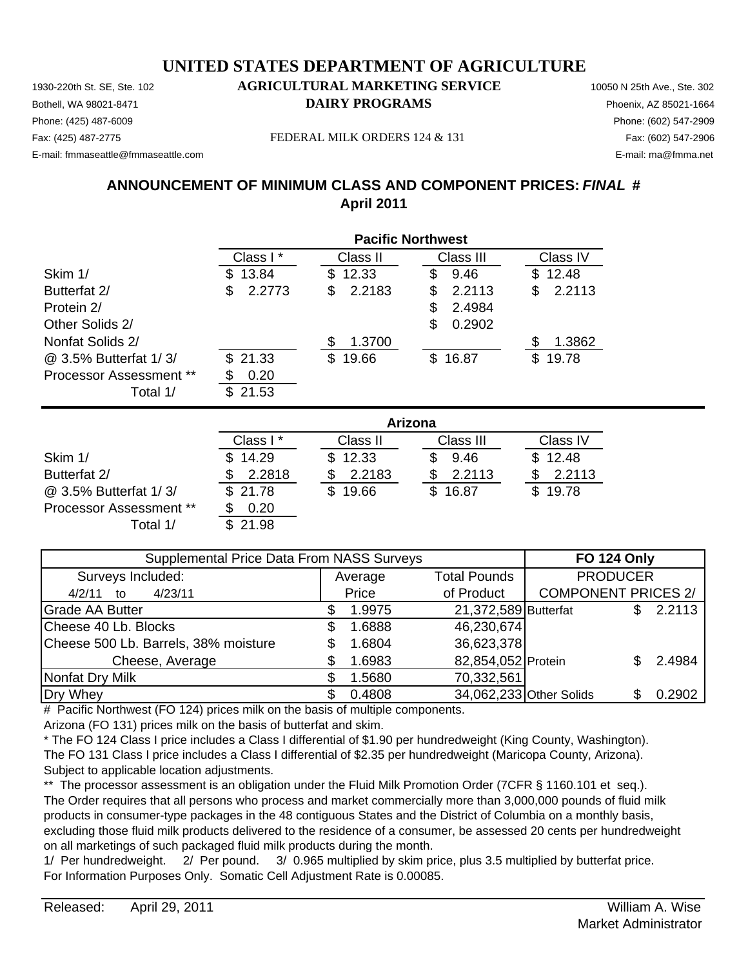Phone: (425) 487-6009 Phone: (602) 547-2909 E-mail: fmmaseattle@fmmaseattle.com E-mail: ma@fmma.net

Fax: (425) 487-2775 FEDERAL MILK ORDERS 124 & 131 Fax: (602) 547-2906

# **ANNOUNCEMENT OF MINIMUM CLASS AND COMPONENT PRICES:** *FINAL* **# April 2011**

|                                | <b>Pacific Northwest</b> |              |              |              |
|--------------------------------|--------------------------|--------------|--------------|--------------|
|                                | Class I*                 | Class II     | Class III    | Class IV     |
| Skim 1/                        | 13.84<br>S.              | 12.33<br>\$. | 9.46<br>S    | 12.48<br>SS. |
| Butterfat 2/                   | 2.2773                   | 2.2183<br>\$ | 2.2113<br>\$ | 2.2113<br>\$ |
| Protein 2/                     |                          |              | 2.4984<br>S  |              |
| Other Solids 2/                |                          |              | 0.2902<br>S  |              |
| Nonfat Solids 2/               |                          | 1.3700<br>£. |              | 1.3862<br>S  |
| @ 3.5% Butterfat 1/3/          | \$21.33                  | 19.66<br>\$. | 16.87<br>\$. | 19.78<br>SS. |
| <b>Processor Assessment **</b> | 0.20                     |              |              |              |
| Total 1/                       | 21.53                    |              |              |              |

|                         | Arizona   |          |           |          |  |
|-------------------------|-----------|----------|-----------|----------|--|
|                         | Class I * | Class II | Class III | Class IV |  |
| Skim 1/                 | \$14.29   | \$12.33  | 9.46      | \$12.48  |  |
| Butterfat 2/            | 2.2818    | 2.2183   | 2.2113    | 2.2113   |  |
| @ 3.5% Butterfat 1/3/   | \$21.78   | \$19.66  | \$16.87   | \$19.78  |  |
| Processor Assessment ** | 0.20      |          |           |          |  |
| Total 1/                | 21.98     |          |           |          |  |

| Supplemental Price Data From NASS Surveys | <b>FO 124 Only</b> |                      |                            |        |
|-------------------------------------------|--------------------|----------------------|----------------------------|--------|
| Surveys Included:                         | Average            | <b>Total Pounds</b>  | <b>PRODUCER</b>            |        |
| 4/23/11<br>4/2/11<br>to                   | Price              | of Product           | <b>COMPONENT PRICES 2/</b> |        |
| <b>Grade AA Butter</b>                    | 1.9975             | 21,372,589 Butterfat |                            | 2.2113 |
| Cheese 40 Lb. Blocks                      | 1.6888             | 46,230,674           |                            |        |
| Cheese 500 Lb. Barrels, 38% moisture      | 1.6804             | 36,623,378           |                            |        |
| Cheese, Average                           | 1.6983             | 82,854,052 Protein   |                            | 2.4984 |
| Nonfat Dry Milk                           | 1.5680             | 70,332,561           |                            |        |
| Dry Whey                                  | 0.4808             |                      | 34,062,233 Other Solids    | 0.2902 |

# Pacific Northwest (FO 124) prices milk on the basis of multiple components.

Arizona (FO 131) prices milk on the basis of butterfat and skim.

\* The FO 124 Class I price includes a Class I differential of \$1.90 per hundredweight (King County, Washington). The FO 131 Class I price includes a Class I differential of \$2.35 per hundredweight (Maricopa County, Arizona). Subject to applicable location adjustments.

\*\* The processor assessment is an obligation under the Fluid Milk Promotion Order (7CFR § 1160.101 et seq.). The Order requires that all persons who process and market commercially more than 3,000,000 pounds of fluid milk products in consumer-type packages in the 48 contiguous States and the District of Columbia on a monthly basis, excluding those fluid milk products delivered to the residence of a consumer, be assessed 20 cents per hundredweight on all marketings of such packaged fluid milk products during the month.

1/ Per hundredweight. 2/ Per pound. 3/ 0.965 multiplied by skim price, plus 3.5 multiplied by butterfat price. For Information Purposes Only. Somatic Cell Adjustment Rate is 0.00085.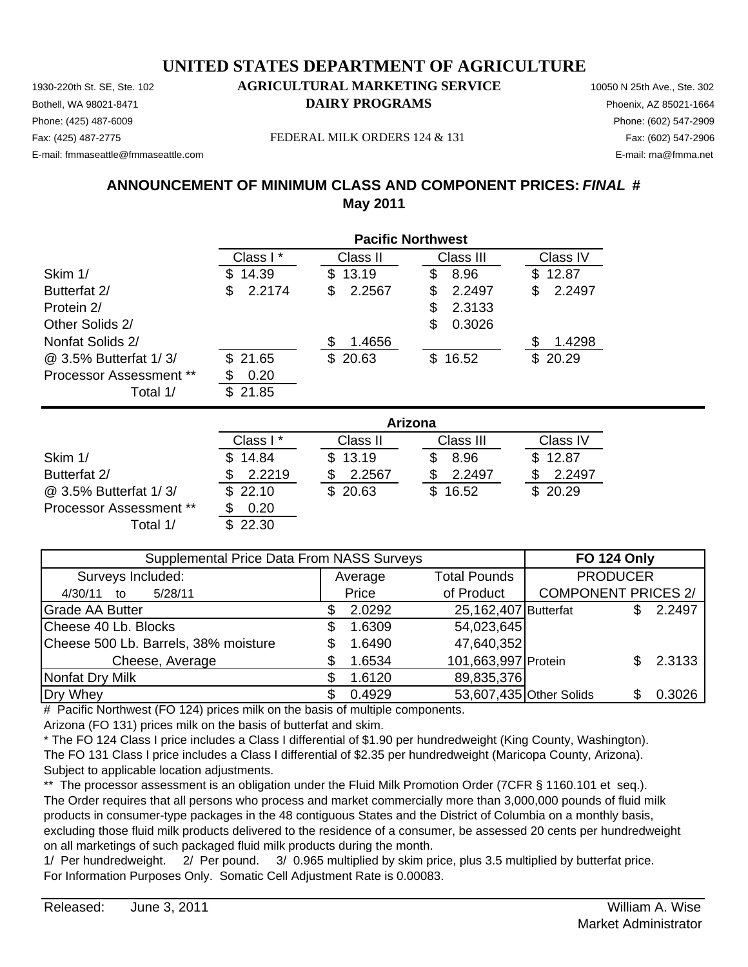Phone: (425) 487-6009 Phone: (602) 547-2909 E-mail: fmmaseattle@fmmaseattle.com E-mail: ma@fmma.net

Fax: (425) 487-2775 FEDERAL MILK ORDERS 124 & 131 Fax: (602) 547-2906

# **ANNOUNCEMENT OF MINIMUM CLASS AND COMPONENT PRICES:** *FINAL* **# May 2011**

|                                | <b>Pacific Northwest</b> |              |             |              |
|--------------------------------|--------------------------|--------------|-------------|--------------|
|                                | Class I*                 | Class II     | Class III   | Class IV     |
| Skim 1/                        | 14.39<br>\$.             | 13.19<br>\$. | 8.96<br>S   | \$12.87      |
| Butterfat 2/                   | 2.2174<br>S              | 2.2567<br>\$ | 2.2497<br>S | 2.2497<br>\$ |
| Protein 2/                     |                          |              | 2.3133<br>S |              |
| Other Solids 2/                |                          |              | 0.3026<br>S |              |
| Nonfat Solids 2/               |                          | 1.4656       |             | 1.4298<br>S  |
| @ 3.5% Butterfat 1/3/          | \$21.65                  | \$20.63      | \$16.52     | \$20.29      |
| <b>Processor Assessment **</b> | 0.20                     |              |             |              |
| Total 1/                       | 21.85<br>\$.             |              |             |              |

|                                | Arizona      |          |           |          |  |
|--------------------------------|--------------|----------|-----------|----------|--|
|                                | Class I *    | Class II | Class III | Class IV |  |
| Skim 1/                        | 14.84<br>\$. | \$13.19  | 8.96      | \$12.87  |  |
| Butterfat 2/                   | 2.2219       | 2.2567   | 2.2497    | 2.2497   |  |
| @ 3.5% Butterfat 1/3/          | \$22.10      | \$20.63  | \$16.52   | \$20.29  |  |
| <b>Processor Assessment **</b> | 0.20         |          |           |          |  |
| Total 1/                       | 22.30        |          |           |          |  |

| <b>Supplemental Price Data From NASS Surveys</b> | <b>FO 124 Only</b> |        |                         |                            |  |        |
|--------------------------------------------------|--------------------|--------|-------------------------|----------------------------|--|--------|
| Surveys Included:                                | Average            |        | <b>Total Pounds</b>     | <b>PRODUCER</b>            |  |        |
| 5/28/11<br>4/30/11<br>to                         | Price              |        | of Product              | <b>COMPONENT PRICES 2/</b> |  |        |
| <b>Grade AA Butter</b>                           |                    | 2.0292 | 25,162,407 Butterfat    |                            |  | 2.2497 |
| Cheese 40 Lb. Blocks                             |                    | 1.6309 | 54,023,645              |                            |  |        |
| Cheese 500 Lb. Barrels, 38% moisture             |                    | 1.6490 | 47,640,352              |                            |  |        |
| Cheese, Average                                  |                    | 1.6534 | 101,663,997 Protein     |                            |  | 2.3133 |
| Nonfat Dry Milk                                  |                    | 1.6120 | 89,835,376              |                            |  |        |
| Dry Whey                                         |                    | 0.4929 | 53,607,435 Other Solids |                            |  | 0.3026 |

# Pacific Northwest (FO 124) prices milk on the basis of multiple components.

Arizona (FO 131) prices milk on the basis of butterfat and skim.

\* The FO 124 Class I price includes a Class I differential of \$1.90 per hundredweight (King County, Washington). The FO 131 Class I price includes a Class I differential of \$2.35 per hundredweight (Maricopa County, Arizona). Subject to applicable location adjustments.

\*\* The processor assessment is an obligation under the Fluid Milk Promotion Order (7CFR § 1160.101 et seq.). The Order requires that all persons who process and market commercially more than 3,000,000 pounds of fluid milk products in consumer-type packages in the 48 contiguous States and the District of Columbia on a monthly basis, excluding those fluid milk products delivered to the residence of a consumer, be assessed 20 cents per hundredweight on all marketings of such packaged fluid milk products during the month.

1/ Per hundredweight. 2/ Per pound. 3/ 0.965 multiplied by skim price, plus 3.5 multiplied by butterfat price. For Information Purposes Only. Somatic Cell Adjustment Rate is 0.00083.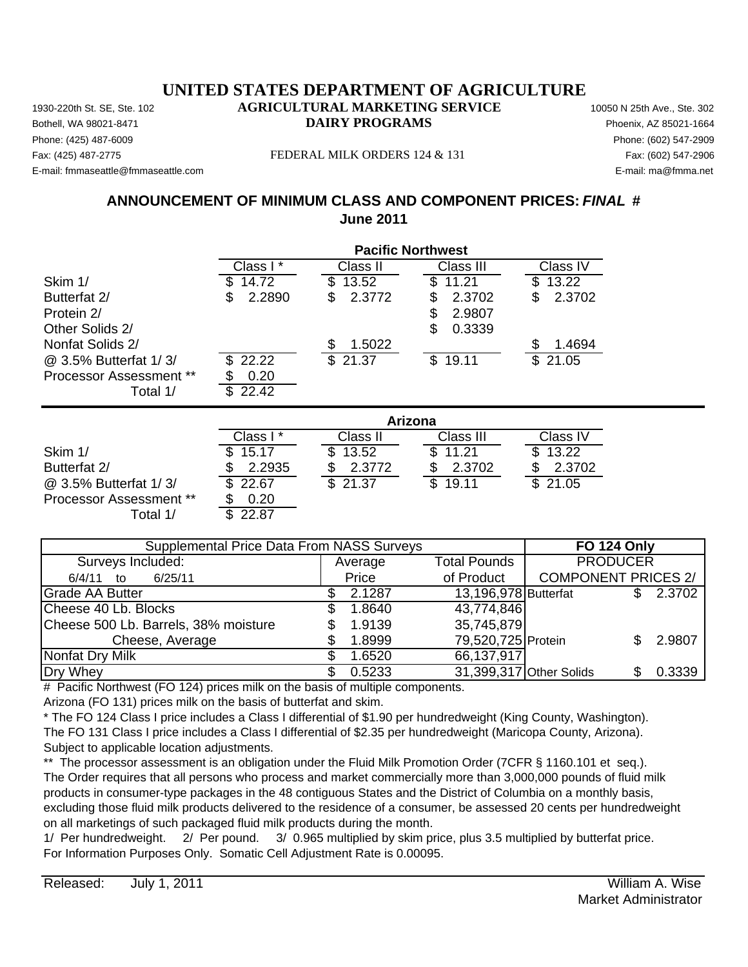Phone: (425) 487-6009 Phone: (602) 547-2909 E-mail: fmmaseattle@fmmaseattle.com E-mail: ma@fmma.net

Fax: (425) 487-2775 FEDERAL MILK ORDERS 124 & 131 Fax: (602) 547-2906

## **ANNOUNCEMENT OF MINIMUM CLASS AND COMPONENT PRICES:** *FINAL* **# June 2011**

|                                |              |              | <b>Pacific Northwest</b> |              |
|--------------------------------|--------------|--------------|--------------------------|--------------|
|                                | Class I*     | Class II     | Class III                | Class IV     |
| Skim 1/                        | 14.72        | 13.52<br>\$. | 11.21<br>\$              | 13.22<br>S   |
| Butterfat 2/                   | 2.2890<br>\$ | \$<br>2.3772 | \$<br>2.3702             | 2.3702<br>\$ |
| Protein 2/                     |              |              | \$<br>2.9807             |              |
| Other Solids 2/                |              |              | \$<br>0.3339             |              |
| Nonfat Solids 2/               |              | \$<br>1.5022 |                          | 1.4694       |
| @ 3.5% Butterfat 1/3/          | 22.22        | \$21.37      | \$19.11                  | 21.05<br>\$. |
| <b>Processor Assessment **</b> | 0.20         |              |                          |              |
| Total 1/                       | 22.42<br>S   |              |                          |              |
|                                |              |              | Arizona                  |              |
|                                | Class I*     | Class II     | Class III                | Class IV     |
| Skim 1/                        | 15.17        | 13.52<br>S   | \$<br>11.21              | 13.22        |
| Butterfat 2/                   | 2.2935       | 2.3772       | 2.3702<br>\$             | 2.3702       |
| @ 3.5% Butterfat 1/3/          | 22.67        | \$<br>21.37  | \$<br>19.11              | 21.05        |

Average 6/4/11 to 6/25/11 Price Grade AA Butter  $$ 2.1287$  13,196,978 Butterfat  $$ 2.3702$ Cheese 40 Lb. Blocks \$ 1.8640 Cheese 500 Lb. Barrels,  $38\%$  moisture  $$1.9139$ Cheese, Average \$ 1.8999 79,520,725 Protein \$ 2.9807 Nonfat Dry Milk  $$ 1.6520$ Dry Whey \$ 0.5233 31,399,317 Other Solids \$ 0.3339 35,745,879 66,137,917 of Product | COMPONENT PRICES 2/ 43,774,846 Supplemental Price Data From NASS Surveys **FO 124 Only** Surveys Included: The Contract of Average Total Pounds PRODUCER

# Pacific Northwest (FO 124) prices milk on the basis of multiple components.

Arizona (FO 131) prices milk on the basis of butterfat and skim.

Processor Assessment \*\* \$ 0.20

Total 1/ \$ 22.87

\* The FO 124 Class I price includes a Class I differential of \$1.90 per hundredweight (King County, Washington). The FO 131 Class I price includes a Class I differential of \$2.35 per hundredweight (Maricopa County, Arizona). Subject to applicable location adjustments.

\*\* The processor assessment is an obligation under the Fluid Milk Promotion Order (7CFR § 1160.101 et seq.). The Order requires that all persons who process and market commercially more than 3,000,000 pounds of fluid milk products in consumer-type packages in the 48 contiguous States and the District of Columbia on a monthly basis, excluding those fluid milk products delivered to the residence of a consumer, be assessed 20 cents per hundredweight on all marketings of such packaged fluid milk products during the month.

1/ Per hundredweight. 2/ Per pound. 3/ 0.965 multiplied by skim price, plus 3.5 multiplied by butterfat price. For Information Purposes Only. Somatic Cell Adjustment Rate is 0.00095.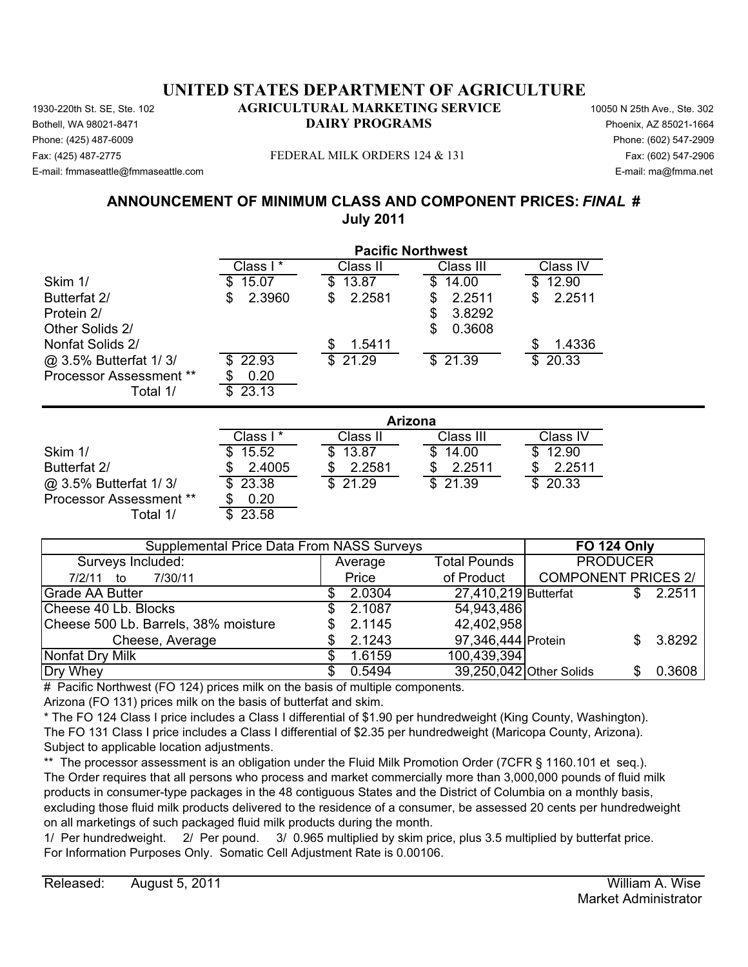Phone: (425) 487-6009 Phone: (602) 547-2909 E-mail: fmmaseattle@fmmaseattle.com E-mail: ma@fmma.net

#### Fax: (425) 487-2775 FEDERAL MILK ORDERS 124 & 131 Fax: (602) 547-2906

## **ANNOUNCEMENT OF MINIMUM CLASS AND COMPONENT PRICES:** *FINAL* **# July 2011**

|                                | <b>Pacific Northwest</b> |              |                                  |                                  |
|--------------------------------|--------------------------|--------------|----------------------------------|----------------------------------|
|                                | Class I*                 | Class II     | Class III                        | Class IV                         |
| Skim 1/                        | 15.07                    | 13.87<br>æ.  | 14.00<br>\$                      | 12.90<br>\$                      |
| Butterfat 2/                   | 2.3960<br>\$             | 2.2581<br>\$ | 2.2511<br>\$                     | 2.2511<br>\$                     |
| Protein 2/                     |                          |              | 3.8292<br>\$                     |                                  |
| Other Solids 2/                |                          |              | 0.3608<br>\$                     |                                  |
| Nonfat Solids 2/               |                          | \$<br>1.5411 |                                  | 1.4336                           |
| @ 3.5% Butterfat 1/3/          | 22.93<br>\$.             | \$21.29      | \$21.39                          | 20.33<br>\$                      |
| <b>Processor Assessment **</b> | 0.20                     |              |                                  |                                  |
| Total 1/                       | \$<br>23.13              |              |                                  |                                  |
|                                |                          |              | Arizona                          |                                  |
|                                | Class I*                 | Class II     | Class III                        | Class IV                         |
| Skim 1/                        | 15.52                    | 13.87        | \$<br>14.00                      | 12.90                            |
| Butterfat 2/                   | 2.4005                   | 2.2581       | 2.2511<br>\$                     | 2.2511                           |
| @ 3.5% Butterfat 1/3/          | \$<br>23.38              | \$<br>21.29  | $\overline{\mathbb{S}}$<br>21.39 | $\overline{\mathbb{S}}$<br>20.33 |

| <b>Supplemental Price Data From NASS Surveys</b> | <b>FO 124 Only</b>             |                      |                            |  |        |
|--------------------------------------------------|--------------------------------|----------------------|----------------------------|--|--------|
| Surveys Included:                                | <b>Total Pounds</b><br>Average |                      | <b>PRODUCER</b>            |  |        |
| 7/30/11<br>7/2/11<br>— to                        | Price                          | of Product           | <b>COMPONENT PRICES 2/</b> |  |        |
| Grade AA Butter                                  | 2.0304                         | 27,410,219 Butterfat |                            |  | 2.2511 |
| Cheese 40 Lb. Blocks                             | 2.1087                         | 54,943,486           |                            |  |        |
| Cheese 500 Lb. Barrels, 38% moisture             | 2.1145                         | 42,402,958           |                            |  |        |
| Cheese, Average                                  | 2.1243                         | 97,346,444 Protein   |                            |  | 3.8292 |
| Nonfat Dry Milk                                  | 1.6159                         | 100,439,394          |                            |  |        |
| Dry Whey                                         | 0.5494                         |                      | 39,250,042 Other Solids    |  | 0.3608 |

# Pacific Northwest (FO 124) prices milk on the basis of multiple components.

Arizona (FO 131) prices milk on the basis of butterfat and skim.

Processor Assessment \*\* \$ 0.20 Total  $1/$ 

\* The FO 124 Class I price includes a Class I differential of \$1.90 per hundredweight (King County, Washington). The FO 131 Class I price includes a Class I differential of \$2.35 per hundredweight (Maricopa County, Arizona). Subject to applicable location adjustments.

\*\* The processor assessment is an obligation under the Fluid Milk Promotion Order (7CFR § 1160.101 et seq.). The Order requires that all persons who process and market commercially more than 3,000,000 pounds of fluid milk products in consumer-type packages in the 48 contiguous States and the District of Columbia on a monthly basis, excluding those fluid milk products delivered to the residence of a consumer, be assessed 20 cents per hundredweight on all marketings of such packaged fluid milk products during the month.

1/ Per hundredweight. 2/ Per pound. 3/ 0.965 multiplied by skim price, plus 3.5 multiplied by butterfat price. For Information Purposes Only. Somatic Cell Adjustment Rate is 0.00106.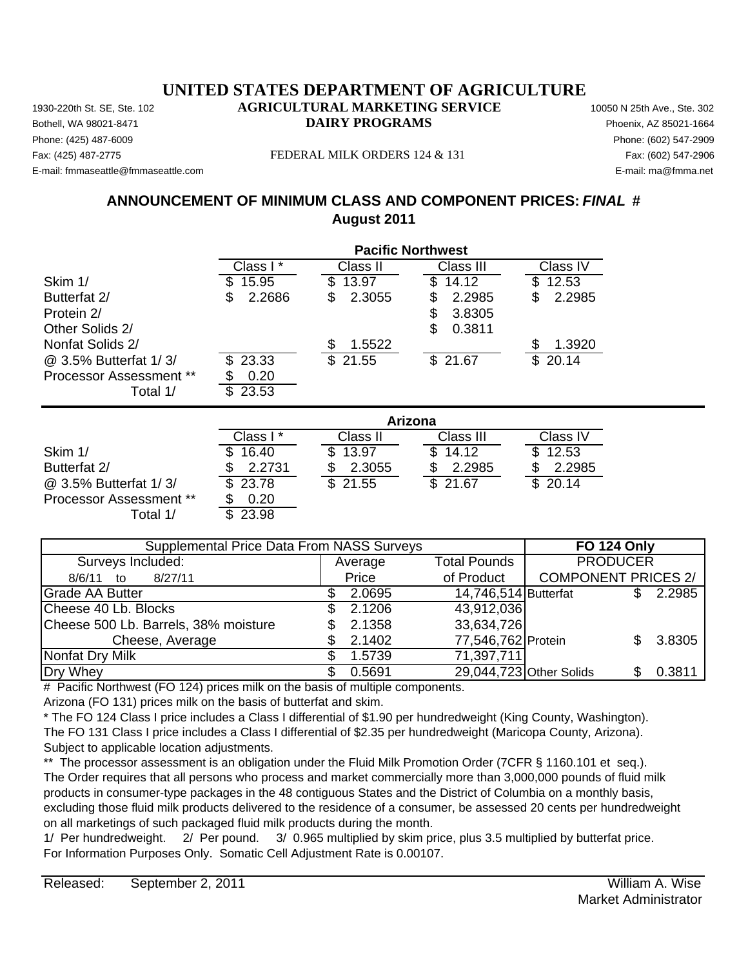Phone: (425) 487-6009 Phone: (602) 547-2909 E-mail: fmmaseattle@fmmaseattle.com E-mail: ma@fmma.net

#### Fax: (425) 487-2775 FEDERAL MILK ORDERS 124 & 131 Fax: (602) 547-2906

## **ANNOUNCEMENT OF MINIMUM CLASS AND COMPONENT PRICES:** *FINAL* **# August 2011**

|                                | <b>Pacific Northwest</b> |              |                |              |  |
|--------------------------------|--------------------------|--------------|----------------|--------------|--|
|                                | Class I*                 | Class II     | Class III      | Class IV     |  |
| Skim 1/                        | 15.95                    | 13.97<br>S   | 14.12<br>\$.   | 12.53<br>\$  |  |
| Butterfat 2/                   | 2.2686<br>\$             | \$<br>2.3055 | 2.2985<br>\$   | \$<br>2.2985 |  |
| Protein 2/                     |                          |              | 3.8305<br>\$   |              |  |
| Other Solids 2/                |                          |              | \$<br>0.3811   |              |  |
| Nonfat Solids 2/               |                          | \$<br>1.5522 |                | \$<br>1.3920 |  |
| @ 3.5% Butterfat 1/3/          | 23.33<br>\$.             | \$21.55      | \$21.67        | \$20.14      |  |
| <b>Processor Assessment **</b> | 0.20                     |              |                |              |  |
| Total 1/                       | \$23.53                  |              |                |              |  |
|                                |                          |              | <b>Arizona</b> |              |  |
|                                | Class I*                 | Class II     | Class III      | Class IV     |  |
| Skim 1/                        | 16.40                    | \$<br>13.97  | S.<br>14.12    | \$<br>12.53  |  |
| Butterfat 2/                   | 2.2731                   | 2.3055<br>\$ | 2.2985         | 2.2985<br>\$ |  |
| @ 3.5% Butterfat 1/3/          | \$<br>23.78              | \$<br>21.55  | \$<br>21.67    | \$<br>20.14  |  |

Average 8/6/11 to 8/27/11 Price Grade AA Butter 2.0695 \$ Butterfat \$ 2.2985 14,746,514 Cheese 40 Lb. Blocks \$2.1206 Cheese 500 Lb. Barrels,  $38\%$  moisture  $$2.1358$ Cheese, Average \$ 2.1402 77,546,762 Protein \$ 3.8305 Nonfat Dry Milk  $$ 1.5739$ Dry Whey \$ 0.5691 29,044,723 Other Solids \$ 0.3811 33,634,726 71,397,711 of Product | COMPONENT PRICES 2/ 43,912,036 Supplemental Price Data From NASS Surveys **FO 124 Only** Surveys Included: The Contract of Average Total Pounds PRODUCER

# Pacific Northwest (FO 124) prices milk on the basis of multiple components.

Arizona (FO 131) prices milk on the basis of butterfat and skim.

\* The FO 124 Class I price includes a Class I differential of \$1.90 per hundredweight (King County, Washington). The FO 131 Class I price includes a Class I differential of \$2.35 per hundredweight (Maricopa County, Arizona). Subject to applicable location adjustments.

\*\* The processor assessment is an obligation under the Fluid Milk Promotion Order (7CFR § 1160.101 et seq.). The Order requires that all persons who process and market commercially more than 3,000,000 pounds of fluid milk products in consumer-type packages in the 48 contiguous States and the District of Columbia on a monthly basis, excluding those fluid milk products delivered to the residence of a consumer, be assessed 20 cents per hundredweight on all marketings of such packaged fluid milk products during the month.

1/ Per hundredweight. 2/ Per pound. 3/ 0.965 multiplied by skim price, plus 3.5 multiplied by butterfat price. For Information Purposes Only. Somatic Cell Adjustment Rate is 0.00107.

Processor Assessment \*\* \$ 0.20

Total  $1/$   $\overline{\$}$  23.98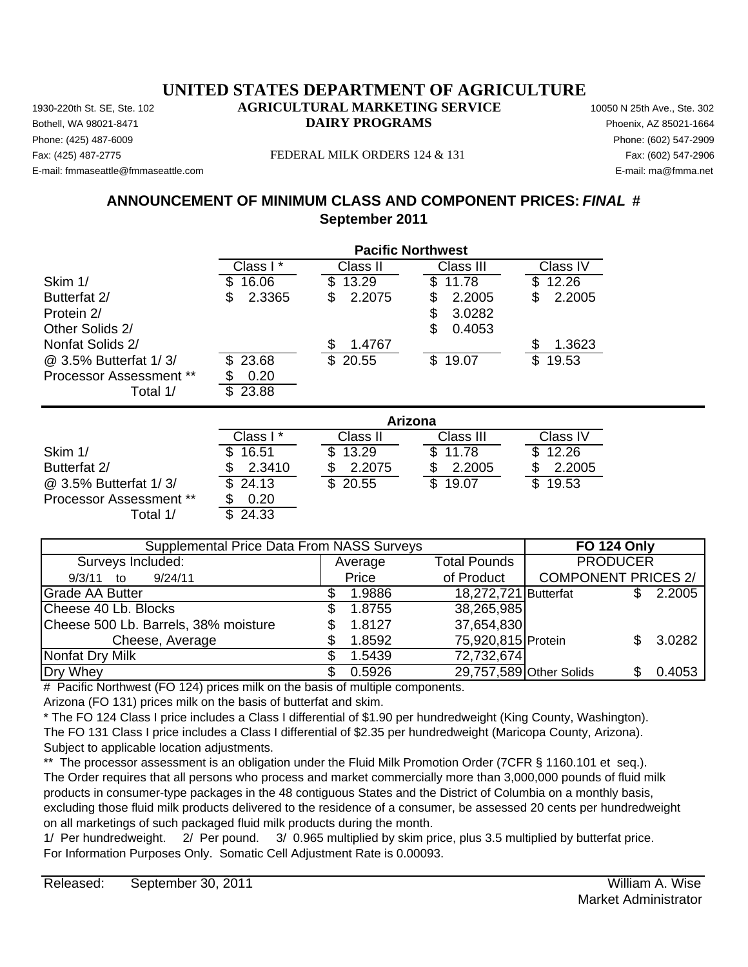Phone: (425) 487-6009 Phone: (602) 547-2909 E-mail: fmmaseattle@fmmaseattle.com E-mail: ma@fmma.net

Processor Assessment \*\*

Total  $1/$ 

#### Fax: (425) 487-2775 FEDERAL MILK ORDERS 124 & 131 Fax: (602) 547-2906

## **ANNOUNCEMENT OF MINIMUM CLASS AND COMPONENT PRICES:** *FINAL* **# September 2011**

|                                |              | <b>Pacific Northwest</b> |              |              |  |  |
|--------------------------------|--------------|--------------------------|--------------|--------------|--|--|
|                                | Class I*     | Class II                 | Class III    | Class IV     |  |  |
| Skim 1/                        | 16.06<br>S   | 13.29<br>S               | \$<br>11.78  | 12.26<br>S   |  |  |
| Butterfat 2/                   | 2.3365<br>\$ | 2.2075<br>\$             | 2.2005<br>S  | 2.2005<br>\$ |  |  |
| Protein 2/                     |              |                          | 3.0282<br>S  |              |  |  |
| Other Solids 2/                |              |                          | 0.4053<br>\$ |              |  |  |
| Nonfat Solids 2/               |              | 1.4767<br>\$             |              | 1.3623       |  |  |
| @ 3.5% Butterfat 1/3/          | \$23.68      | \$20.55                  | \$<br>19.07  | \$<br>19.53  |  |  |
| <b>Processor Assessment **</b> | 0.20         |                          |              |              |  |  |
| Total 1/                       | \$23.88      |                          |              |              |  |  |
|                                |              |                          | Arizona      |              |  |  |
|                                | Class I*     | Class II                 | Class III    | Class IV     |  |  |
| Skim 1/                        | 16.51        | \$<br>13.29              | 11.78        | 12.26        |  |  |
| Butterfat 2/                   | 2.3410       | 2.2075                   | 2.2005       | 2.2005       |  |  |
| @ 3.5% Butterfat 1/3/          | \$<br>24.13  | \$<br>20.55              | \$<br>19.07  | \$<br>19.53  |  |  |

| <b>Supplemental Price Data From NASS Surveys</b> | <b>FO 124 Only</b> |                                        |                            |    |        |
|--------------------------------------------------|--------------------|----------------------------------------|----------------------------|----|--------|
| Surveys Included:                                | Average            | <b>PRODUCER</b><br><b>Total Pounds</b> |                            |    |        |
| 9/24/11<br>9/3/11<br>to                          | Price              | of Product                             | <b>COMPONENT PRICES 2/</b> |    |        |
| Grade AA Butter                                  | 1.9886             | 18,272,721 Butterfat                   |                            | S. | 2.2005 |
| Cheese 40 Lb. Blocks                             | 1.8755             | 38,265,985                             |                            |    |        |
| Cheese 500 Lb. Barrels, 38% moisture             | 1.8127             | 37,654,830                             |                            |    |        |
| Cheese, Average                                  | 1.8592             | 75,920,815 Protein                     |                            |    | 3.0282 |
| Nonfat Dry Milk                                  | 1.5439             | 72,732,674                             |                            |    |        |
| Dry Whey                                         | 0.5926             | 29,757,589 Other Solids                |                            |    | 0.4053 |

# Pacific Northwest (FO 124) prices milk on the basis of multiple components.

Arizona (FO 131) prices milk on the basis of butterfat and skim.

\* The FO 124 Class I price includes a Class I differential of \$1.90 per hundredweight (King County, Washington). The FO 131 Class I price includes a Class I differential of \$2.35 per hundredweight (Maricopa County, Arizona). Subject to applicable location adjustments.

\*\* The processor assessment is an obligation under the Fluid Milk Promotion Order (7CFR § 1160.101 et seq.). The Order requires that all persons who process and market commercially more than 3,000,000 pounds of fluid milk products in consumer-type packages in the 48 contiguous States and the District of Columbia on a monthly basis, excluding those fluid milk products delivered to the residence of a consumer, be assessed 20 cents per hundredweight on all marketings of such packaged fluid milk products during the month.

1/ Per hundredweight. 2/ Per pound. 3/ 0.965 multiplied by skim price, plus 3.5 multiplied by butterfat price. For Information Purposes Only. Somatic Cell Adjustment Rate is 0.00093.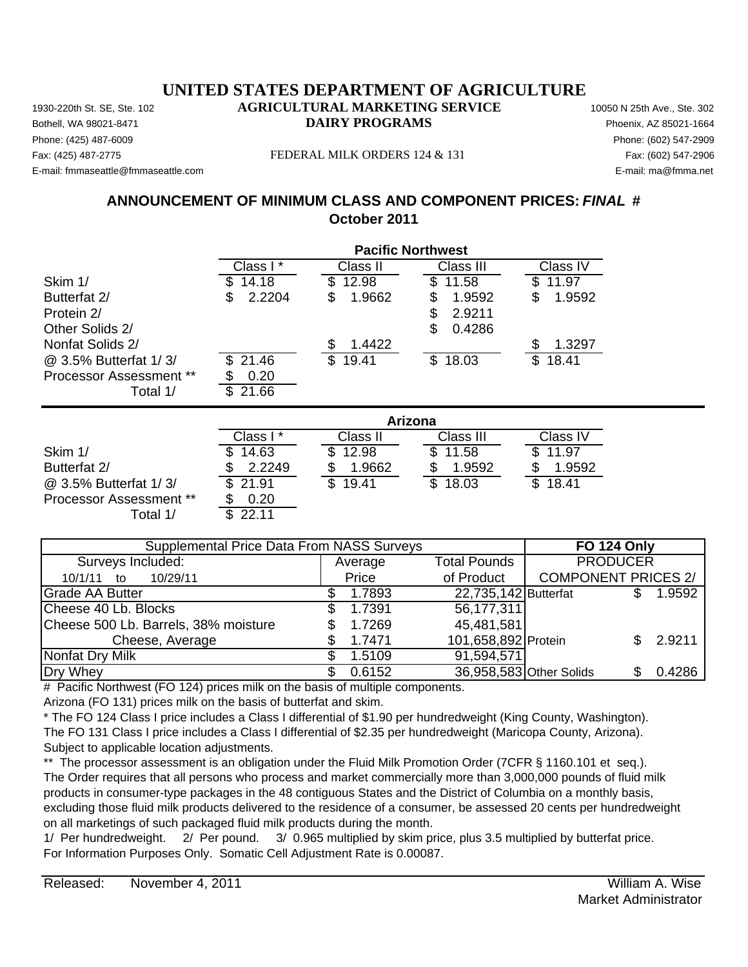Phone: (425) 487-6009 Phone: (602) 547-2909 E-mail: fmmaseattle@fmmaseattle.com E-mail: ma@fmma.net

#### Fax: (425) 487-2775 FEDERAL MILK ORDERS 124 & 131 Fax: (602) 547-2906

## **ANNOUNCEMENT OF MINIMUM CLASS AND COMPONENT PRICES:** *FINAL* **# October 2011**

|                                | <b>Pacific Northwest</b> |              |              |              |  |  |
|--------------------------------|--------------------------|--------------|--------------|--------------|--|--|
|                                | Class I*                 | Class II     | Class III    | Class IV     |  |  |
| Skim 1/                        | 14.18                    | 12.98<br>\$  | \$<br>11.58  | 11.97        |  |  |
| Butterfat 2/                   | 2.2204<br>S              | 1.9662<br>\$ | 1.9592<br>S  | 1.9592<br>\$ |  |  |
| Protein 2/                     |                          |              | \$<br>2.9211 |              |  |  |
| Other Solids 2/                |                          |              | \$<br>0.4286 |              |  |  |
| Nonfat Solids 2/               |                          | 1.4422<br>S  |              | 1.3297       |  |  |
| @ 3.5% Butterfat 1/3/          | 21.46                    | \$<br>19.41  | \$18.03      | \$<br>18.41  |  |  |
| <b>Processor Assessment **</b> | 0.20                     |              |              |              |  |  |
| Total 1/                       | 21.66<br>\$.             |              |              |              |  |  |
|                                | <b>Arizona</b>           |              |              |              |  |  |
|                                | Class I*                 | Class II     | Class III    | Class IV     |  |  |
| Skim 1/                        | 14.63                    | 12.98        | \$.<br>11.58 | 11.97        |  |  |

| Skim 1/                 | \$14.63  | \$12.98 | \$11.58 | \$11.97 |
|-------------------------|----------|---------|---------|---------|
| Butterfat 2/            | \$2.2249 | 1.9662  | 1.9592  | 1.9592  |
| @ 3.5% Butterfat 1/3/   | \$21.91  | \$19.41 | \$18.03 | \$18.41 |
| Processor Assessment ** | 0.20     |         |         |         |

| <b>Supplemental Price Data From NASS Surveys</b> | <b>FO 124 Only</b> |                      |                            |        |
|--------------------------------------------------|--------------------|----------------------|----------------------------|--------|
| Surveys Included:                                | Average            | <b>Total Pounds</b>  | <b>PRODUCER</b>            |        |
| 10/29/11<br>10/1/11 to                           | Price              | of Product           | <b>COMPONENT PRICES 2/</b> |        |
| <b>Grade AA Butter</b>                           | 1.7893             | 22,735,142 Butterfat |                            | 1.9592 |
| Cheese 40 Lb. Blocks                             | 1.7391             | 56,177,311           |                            |        |
| Cheese 500 Lb. Barrels, 38% moisture             | 1.7269             | 45,481,581           |                            |        |
| Cheese, Average                                  | 1.7471             | 101,658,892 Protein  |                            | 2.9211 |
| Nonfat Dry Milk                                  | 1.5109             | 91,594,571           |                            |        |
| Dry Whey                                         | 0.6152             |                      | 36,958,583 Other Solids    | 0.4286 |

# Pacific Northwest (FO 124) prices milk on the basis of multiple components.

Arizona (FO 131) prices milk on the basis of butterfat and skim.

Total  $1/$   $\overline{\$}$  22.11

\* The FO 124 Class I price includes a Class I differential of \$1.90 per hundredweight (King County, Washington). The FO 131 Class I price includes a Class I differential of \$2.35 per hundredweight (Maricopa County, Arizona). Subject to applicable location adjustments.

\*\* The processor assessment is an obligation under the Fluid Milk Promotion Order (7CFR § 1160.101 et seq.). The Order requires that all persons who process and market commercially more than 3,000,000 pounds of fluid milk products in consumer-type packages in the 48 contiguous States and the District of Columbia on a monthly basis, excluding those fluid milk products delivered to the residence of a consumer, be assessed 20 cents per hundredweight on all marketings of such packaged fluid milk products during the month.

1/ Per hundredweight. 2/ Per pound. 3/ 0.965 multiplied by skim price, plus 3.5 multiplied by butterfat price. For Information Purposes Only. Somatic Cell Adjustment Rate is 0.00087.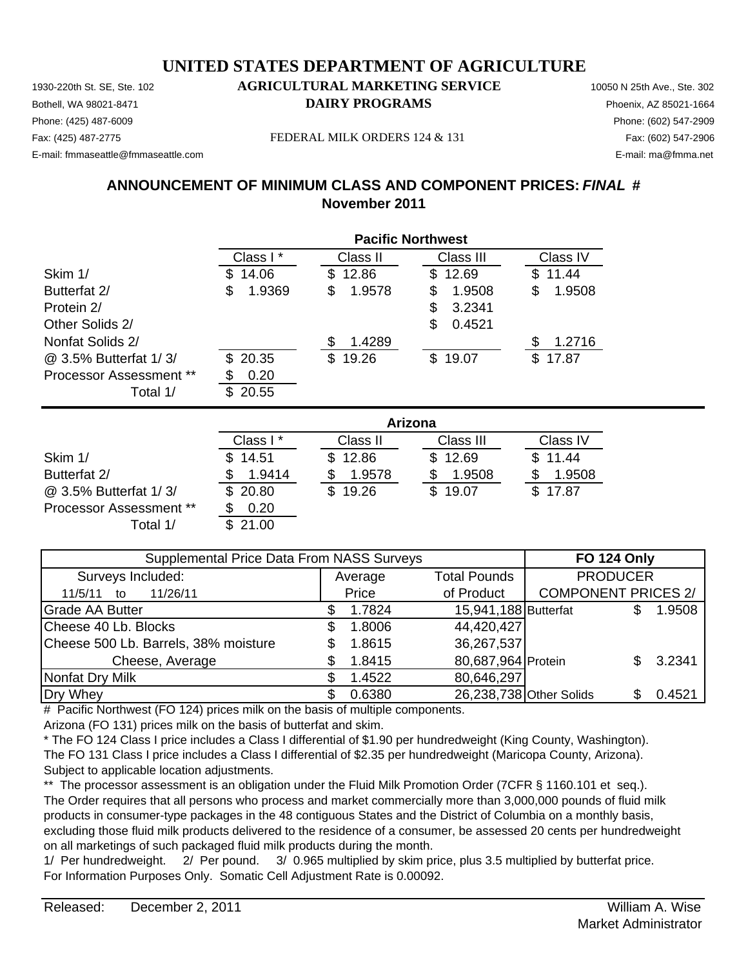Phone: (425) 487-6009 Phone: (602) 547-2909 E-mail: fmmaseattle@fmmaseattle.com E-mail: ma@fmma.net

Fax: (425) 487-2775 FEDERAL MILK ORDERS 124 & 131 Fax: (602) 547-2906

# **ANNOUNCEMENT OF MINIMUM CLASS AND COMPONENT PRICES:** *FINAL* **# November 2011**

|                                | <b>Pacific Northwest</b> |              |              |              |  |
|--------------------------------|--------------------------|--------------|--------------|--------------|--|
|                                | Class I*                 | Class II     | Class III    | Class IV     |  |
| Skim 1/                        | 14.06<br>\$.             | 12.86<br>\$  | \$12.69      | 11.44<br>\$. |  |
| Butterfat 2/                   | 1.9369<br>\$             | \$<br>1.9578 | 1.9508<br>\$ | 1.9508<br>\$ |  |
| Protein 2/                     |                          |              | 3.2341<br>S  |              |  |
| Other Solids 2/                |                          |              | \$<br>0.4521 |              |  |
| Nonfat Solids 2/               |                          | 1.4289<br>S  |              | 1.2716       |  |
| @ 3.5% Butterfat 1/3/          | \$20.35                  | \$19.26      | \$19.07      | 17.87<br>\$. |  |
| <b>Processor Assessment **</b> | 0.20                     |              |              |              |  |
| Total 1/                       | 20.55<br>\$.             |              |              |              |  |

|                         | Arizona  |          |           |          |  |  |
|-------------------------|----------|----------|-----------|----------|--|--|
|                         | Class I* | Class II | Class III | Class IV |  |  |
| Skim 1/                 | 14.51    | \$12.86  | \$12.69   | \$11.44  |  |  |
| Butterfat 2/            | 1.9414   | 1.9578   | 1.9508    | 1.9508   |  |  |
| @ 3.5% Butterfat 1/3/   | \$20.80  | \$19.26  | \$19.07   | \$17.87  |  |  |
| Processor Assessment ** | 0.20     |          |           |          |  |  |
| Total 1/                | 21.00    |          |           |          |  |  |

| Supplemental Price Data From NASS Surveys |  |                                |                         |                            | <b>FO 124 Only</b> |        |  |
|-------------------------------------------|--|--------------------------------|-------------------------|----------------------------|--------------------|--------|--|
| Surveys Included:                         |  | <b>Total Pounds</b><br>Average |                         | <b>PRODUCER</b>            |                    |        |  |
| 11/26/11<br>11/5/11<br>to                 |  | Price                          | of Product              | <b>COMPONENT PRICES 2/</b> |                    |        |  |
| <b>Grade AA Butter</b>                    |  | 1.7824                         | 15,941,188 Butterfat    |                            |                    | 1.9508 |  |
| Cheese 40 Lb. Blocks                      |  | 1.8006                         | 44,420,427              |                            |                    |        |  |
| Cheese 500 Lb. Barrels, 38% moisture      |  | 1.8615                         | 36,267,537              |                            |                    |        |  |
| Cheese, Average                           |  | 1.8415                         | 80,687,964 Protein      |                            |                    | 3.2341 |  |
| Nonfat Dry Milk                           |  | 1.4522                         | 80,646,297              |                            |                    |        |  |
| Dry Whey                                  |  | 0.6380                         | 26,238,738 Other Solids |                            |                    | 0.4521 |  |

# Pacific Northwest (FO 124) prices milk on the basis of multiple components.

Arizona (FO 131) prices milk on the basis of butterfat and skim.

\* The FO 124 Class I price includes a Class I differential of \$1.90 per hundredweight (King County, Washington). The FO 131 Class I price includes a Class I differential of \$2.35 per hundredweight (Maricopa County, Arizona). Subject to applicable location adjustments.

\*\* The processor assessment is an obligation under the Fluid Milk Promotion Order (7CFR § 1160.101 et seq.). The Order requires that all persons who process and market commercially more than 3,000,000 pounds of fluid milk products in consumer-type packages in the 48 contiguous States and the District of Columbia on a monthly basis, excluding those fluid milk products delivered to the residence of a consumer, be assessed 20 cents per hundredweight on all marketings of such packaged fluid milk products during the month.

1/ Per hundredweight. 2/ Per pound. 3/ 0.965 multiplied by skim price, plus 3.5 multiplied by butterfat price. For Information Purposes Only. Somatic Cell Adjustment Rate is 0.00092.